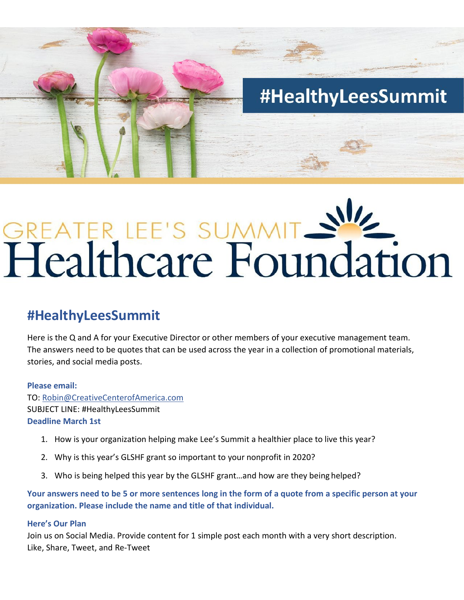

# GREATER LEE'S SUMMIT SWE

## **#HealthyLeesSummit**

Here is the Q and A for your Executive Director or other members of your executive management team. The answers need to be quotes that can be used across the year in a collection of promotional materials, stories, and social media posts.

### **Please email:**

TO[: Robin@CreativeCenterofAmerica.com](mailto:Robin@CreativeCenterofAmerica.com) SUBJECT LINE: #HealthyLeesSummit **Deadline March 1st**

- 1. How is your organization helping make Lee's Summit a healthier place to live this year?
- 2. Why is this year's GLSHF grant so important to your nonprofit in 2020?
- 3. Who is being helped this year by the GLSHF grant…and how are they being helped?

**Your answers need to be 5 or more sentences long in the form of a quote from a specific person at your organization. Please include the name and title of that individual.**

### **Here's Our Plan**

Join us on Social Media. Provide content for 1 simple post each month with a very short description. Like, Share, Tweet, and Re-Tweet